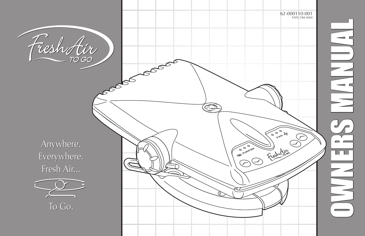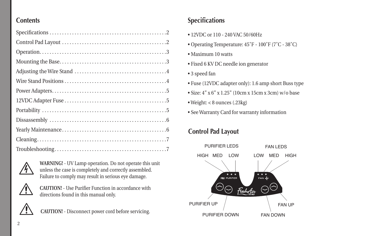## **Contents**



WARNING! - UV Lamp operation. Do not operate this unit unless the case is completely and correctly assembled. Failure to comply may result in serious eye damage.



**CAUTION!** - Use Purifier Function in accordance with directions found in this manual only.



**CAUTION!** - Disconnect power cord before servicing.

# **Specifications**

- 12VDC or 110 240 VAC 50/60Hz
- Operating Temperature:  $45^{\circ}$ F 100°F (7°C 38°C)
- Maximum 10 watts
- Fixed 6 KV DC needle ion generator
- 3 speed fan
- Fuse (12VDC adapter only): 1.6 amp short Buss type
- Size:  $4" \times 6" \times 1.25"$  (10cm x 15cm x 3cm) w/o base
- $\bullet$  Weight: < 8 ounces (.23kg)
- See Warranty Card for warranty information

# **Control Pad Layout**

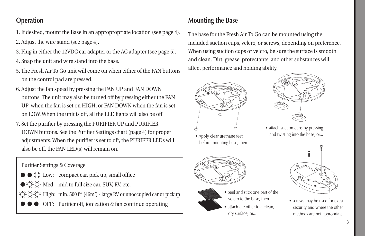# **Operation**

- 1. If desired, mount the Base in an appropropriate location (see page 4).
- 2. Adjust the wire stand (see page 4).
- 3. Plug in either the 12VDC car adapter or the AC adapter (see page 5).
- 4. Snap the unit and wire stand into the base.
- 5. The Fresh Air To Go unit will come on when either of the FAN buttons on the control pad are pressed.
- 6. Adjust the fan speed by pressing the FAN UP and FAN DOWN buttons. The unit may also be turned off by pressing either the FAN UP when the fan is set on HIGH, or FAN DOWN when the fan is set on LOW. When the unit is off, all the LED lights will also be off
- 7. Set the purifier by pressing the PURIFIER UP and PURIFIER DOWN buttons. See the Purifier Settings chart (page 4) for proper adjustments. When the purifier is set to off, the PURIFER LEDs will also be off, the FAN LED(s) will remain on.

## Purifier Settings & Coverage

- $\bullet \bullet \circ \circ$  Low: compact car, pick up, small office
- $\bullet$   $\overleftrightarrow{C}$   $\cong$  Med: mid to full size car, SUV, RV, etc.
- High: min. 500 ft<sup>2</sup> (46m<sup>2</sup>) large RV or unoccupied car or pickup
	- OFF: Purifier off, ionization & fan continue operating

# **Mounting the Base**

The base for the Fresh Air To Go can be mounted using the included suction cups, velcro, or screws, depending on preference. When using suction cups or velcro, be sure the surface is smooth and clean. Dirt, grease, protectants, and other substances will affect performance and holding ability.



• Apply clear urethane feet before mounting base, then...



• attach suction cups by pressing and twisting into the base, or...





• screws may be used for extra security and where the other methods are not appropriate.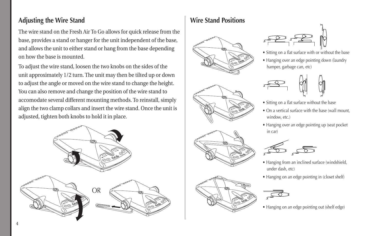## **Adjusting the Wire Stand**

The wire stand on the Fresh Air To Go allows for quick release from the base, provides a stand or hanger for the unit independent of the base, and allows the unit to either stand or hang from the base depending on how the base is mounted.

To adiust the wire stand, loosen the two knobs on the sides of the unit approximately 1/2 turn. The unit may then be tilted up or down to adjust the angle or moved on the wire stand to change the height. You can also remove and change the position of the wire stand to accomodate several different mounting methods. To reinstall, simply align the two clamp collars and insert the wire stand. Once the unit is adjusted, tighten both knobs to hold it in place.



# **Wire Stand Positions**





- Sitting on a flat surface with or without the base
- Hanging over an edge pointing down (laundry hamper, garbage can, etc)



- Sitting on a flat surface without the base
- On a vertical surface with the base (wall mount, window, etc.)
- Hanging over an edge pointing up (seat pocket in car)



- Hanging from an inclined surface (windshield, under dash, etc)
- Hanging on an edge pointing in (closet shelf)



• Hanging on an edge pointing out (shelf edge)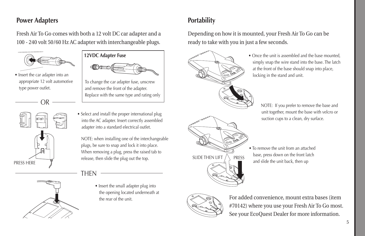## **Power Adapters**

Fresh Air To Go comes with both a 12 volt DC car adapter and a 100 - 240 volt 50/60 Hz AC adapter with interchangeable plugs.



• Insert the car adapter into an appropriate 12 volt automotive type power outlet.

OR







To change the car adapter fuse, unscrew and remove the front of the adapter. Replace with the same type and rating only

• Select and install the proper international plug into the AC adapter. Insert correctly assembled adapter into a standard electrical outlet.

NOTE: when installing one of the interchangeable plugs, be sure to snap and lock it into place. When removing a plug, press the raised tab to release, then slide the plug out the top.

THEN

• Insert the small adapter plug into the opening located underneath at the rear of the unit.

# **Portability**

Depending on how it is mounted, your Fresh Air To Go can be ready to take with you in just a few seconds.



• Once the unit is assembled and the base mounted. simply snap the wire stand into the base. The latch at the front of the base should snap into place, locking in the stand and unit.

> NOTE: If you prefer to remove the base and unit together, mount the base with velcro or suction cups to a clean, dry surface.

• To remove the unit from an attached base, press down on the front latch and slide the unit back, then up



For added convenience, mount extra bases (item #70142) where you use your Fresh Air To Go most. See your EcoQuest Dealer for more information.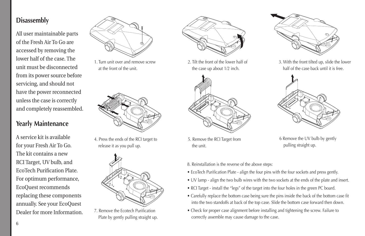## **Disassembly**

All user maintainable parts of the Fresh Air To Go are accessed by removing the lower half of the case. The unit must be disconnected from its power source before servicing, and should not have the power reconnected unless the case is correctly and completely reassembled.

## **Yearly Maintenance**

A service kit is available for your Fresh Air To Go. The kit contains a new RCI Target, UV bulb, and EcoTech Purification Plate. For optimum performance, EcoQuest recommends replacing these components annually. See your EcoQuest Dealer for more Information



1. Turn unit over and remove screw at the front of the unit.



4. Press the ends of the RCI target to release it as you pull up.



7. Remove the Ecotech Purification Plate by gently pulling straight up.



2. Tilt the front of the lower half of the case up about 1/2 inch.



5. Remove the RCI Target from the unit.



3. With the front tilted up, slide the lower half of the case back until it is free.



6 Remove the UV bulb by gently pulling straight up.

- 8. Reinstallation is the reverse of the above steps:
- EcoTech Purification Plate align the four pins with the four sockets and press gently.
- UV lamp align the two bulb wires with the two sockets at the ends of the plate and insert.
- RCI Target install the "legs" of the target into the four holes in the green PC board.
- Carefully replace the bottom case being sure the pins inside the back of the bottom case fit into the two standoffs at back of the top case. Slide the bottom case forward then down.
- Check for proper case alignment before installing and tightening the screw. Failure to correctly assemble may cause damage to the case.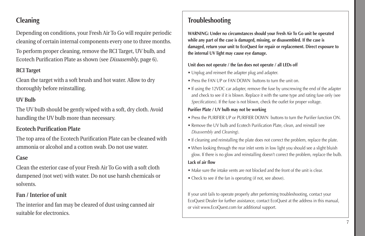Depending on conditions, your Fresh Air To Go will require periodic cleaning of certain internal components every one to three months.

To perform proper cleaning, remove the RCI Target, UV bulb, and Ecotech Purification Plate as shown (see *Dissasembly*, page 6).

#### **RCITarget**

Clean the target with a soft brush and hot water. Allow to dry thoroughly before reinstalling.

#### **UVBulb**

The UV bulb should be gently wiped with a soft, dry cloth. Avoid handling the UV bulb more than necessary.

### **Ecotech Purification Plate**

The top area of the Ecotech Purification Plate can be cleaned with ammoniaoralcoholandacottonswab.Donotusewater.

### **Case**

Clean the exterior case of your Fresh Air To Go with a soft cloth dampened (not wet) with water. Do not use harsh chemicals or solvents.

### **Fan/Interiorofunit**

The interior and fan may be cleared of dust using canned air suitable for electronics.

# **Cleaning Troubleshooting**

**WARNING: Under no circumstances should your Fresh Air To Go unit be operated while any part of the case is damaged, missing, or disassembled. If the case is damaged, return your unit to EcoQuest for repair or replacement. Direct exposure to the internal UV light may cause eye damage.**

#### **Unit does not operate / the fan does not operate / all LEDs off**

- Unplug and reinsert the adapter plug and adapter.
- Press the FAN UP or FAN DOWN buttons to turn the unit on.
- If using the 12VDC car adapter, remove the fuse by unscrewing the end of the adapter and check to see if it is blown. Replace it with the same type and rating fuse only (see *Specifications*). If the fuse is not blown, check the outlet for proper voltage.

#### **Purifier Plate / UV bulb may not be working**

- Press the PURIFIER UP or PURIFIER DOWN buttons to turn the Purifier function ON.
- Remove the UV bulb and Ecotech Purification Plate, clean, and reinstall (see *Disassembly* and *Cleaning*).
- If cleaning and reinstalling the plate does not correct the problem, replace the plate.
- When looking through the rear inlet vents in low light you should see a slight bluish glow. If there is no glow and reinstalling doesn't correct the problem, replace the bulb.

#### **Lack of air flow**

- Make sure the intake vents are not blocked and the front of the unit is clear.
- Check to see if the fan is operating (if not, see above).

If your unit fails to operate properly after performing troubleshooting, contact your EcoQuest Dealer for further assistance, contact EcoQuest at the address in this manual, or visit www.EcoQuest.com for additional support.